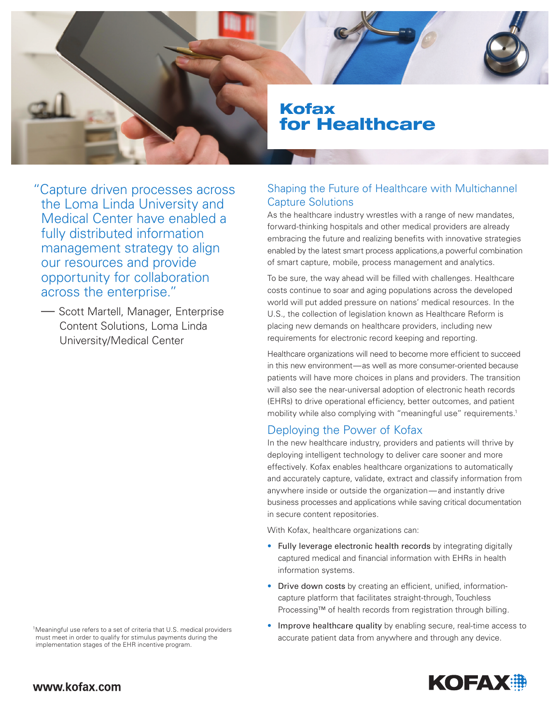

"Capture driven processes across the Loma Linda University and Medical Center have enabled a fully distributed information management strategy to align our resources and provide opportunity for collaboration across the enterprise."

— Scott Martell, Manager, Enterprise Content Solutions, Loma Linda University/Medical Center

Shaping the Future of Healthcare with Multichannel Capture Solutions

As the healthcare industry wrestles with a range of new mandates, forward-thinking hospitals and other medical providers are already embracing the future and realizing benefits with innovative strategies enabled by the latest smart process applications,a powerful combination of smart capture, mobile, process management and analytics.

To be sure, the way ahead will be filled with challenges. Healthcare costs continue to soar and aging populations across the developed world will put added pressure on nations' medical resources. In the U.S., the collection of legislation known as Healthcare Reform is placing new demands on healthcare providers, including new requirements for electronic record keeping and reporting.

Healthcare organizations will need to become more efficient to succeed in this new environment—as well as more consumer-oriented because patients will have more choices in plans and providers. The transition will also see the near-universal adoption of electronic heath records (EHRs) to drive operational efficiency, better outcomes, and patient mobility while also complying with "meaningful use" requirements.<sup>1</sup>

# Deploying the Power of Kofax

In the new healthcare industry, providers and patients will thrive by deploying intelligent technology to deliver care sooner and more effectively. Kofax enables healthcare organizations to automatically and accurately capture, validate, extract and classify information from anywhere inside or outside the organization—and instantly drive business processes and applications while saving critical documentation in secure content repositories.

With Kofax, healthcare organizations can:

- Fully leverage electronic health records by integrating digitally captured medical and financial information with EHRs in health information systems.
- Drive down costs by creating an efficient, unified, informationcapture platform that facilitates straight-through, Touchless Processing™ of health records from registration through billing.
- Improve healthcare quality by enabling secure, real-time access to accurate patient data from anywhere and through any device.



<sup>1</sup>Meaningful use refers to a set of criteria that U.S. medical providers must meet in order to qualify for stimulus payments during the implementation stages of the EHR incentive program.